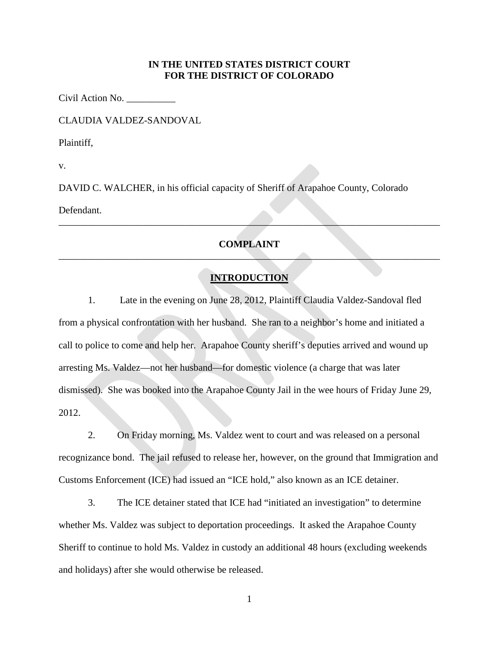# **IN THE UNITED STATES DISTRICT COURT FOR THE DISTRICT OF COLORADO**

Civil Action No. \_\_\_\_\_\_\_\_\_\_

CLAUDIA VALDEZ-SANDOVAL

Plaintiff,

v.

DAVID C. WALCHER, in his official capacity of Sheriff of Arapahoe County, Colorado

Defendant.

# **COMPLAINT**  $\mathcal{L} = \{ \mathcal{L} \mid \mathcal{L} \in \mathcal{L} \}$  , where  $\mathcal{L} = \{ \mathcal{L} \mid \mathcal{L} \in \mathcal{L} \}$  , where  $\mathcal{L} = \{ \mathcal{L} \mid \mathcal{L} \in \mathcal{L} \}$

 $\mathcal{L} = \{ \mathcal{L} \mid \mathcal{L} \text{ and } \mathcal{L} \text{ and } \mathcal{L} \}$ 

# **INTRODUCTION**

1. Late in the evening on June 28, 2012, Plaintiff Claudia Valdez-Sandoval fled from a physical confrontation with her husband. She ran to a neighbor's home and initiated a call to police to come and help her. Arapahoe County sheriff's deputies arrived and wound up arresting Ms. Valdez—not her husband—for domestic violence (a charge that was later dismissed). She was booked into the Arapahoe County Jail in the wee hours of Friday June 29, 2012.

2. On Friday morning, Ms. Valdez went to court and was released on a personal recognizance bond. The jail refused to release her, however, on the ground that Immigration and Customs Enforcement (ICE) had issued an "ICE hold," also known as an ICE detainer.

3. The ICE detainer stated that ICE had "initiated an investigation" to determine whether Ms. Valdez was subject to deportation proceedings. It asked the Arapahoe County Sheriff to continue to hold Ms. Valdez in custody an additional 48 hours (excluding weekends and holidays) after she would otherwise be released.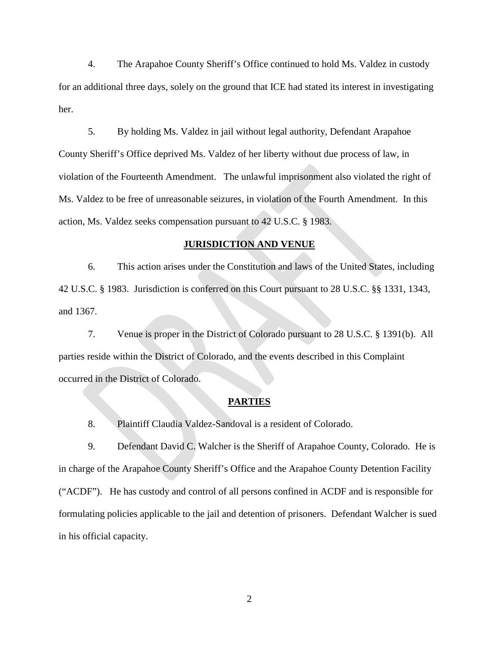4. The Arapahoe County Sheriff's Office continued to hold Ms. Valdez in custody for an additional three days, solely on the ground that ICE had stated its interest in investigating her.

5. By holding Ms. Valdez in jail without legal authority, Defendant Arapahoe County Sheriff's Office deprived Ms. Valdez of her liberty without due process of law, in violation of the Fourteenth Amendment. The unlawful imprisonment also violated the right of Ms. Valdez to be free of unreasonable seizures, in violation of the Fourth Amendment. In this action, Ms. Valdez seeks compensation pursuant to 42 U.S.C. § 1983.

## **JURISDICTION AND VENUE**

6. This action arises under the Constitution and laws of the United States, including 42 U.S.C. § 1983. Jurisdiction is conferred on this Court pursuant to 28 U.S.C. §§ 1331, 1343, and 1367.

7. Venue is proper in the District of Colorado pursuant to 28 U.S.C. § 1391(b). All parties reside within the District of Colorado, and the events described in this Complaint occurred in the District of Colorado.

### **PARTIES**

8. Plaintiff Claudia Valdez-Sandoval is a resident of Colorado.

9. Defendant David C. Walcher is the Sheriff of Arapahoe County, Colorado. He is in charge of the Arapahoe County Sheriff's Office and the Arapahoe County Detention Facility ("ACDF"). He has custody and control of all persons confined in ACDF and is responsible for formulating policies applicable to the jail and detention of prisoners. Defendant Walcher is sued in his official capacity.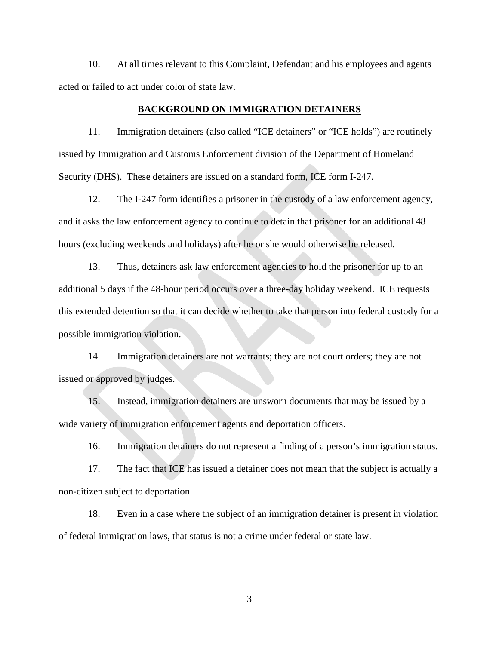10. At all times relevant to this Complaint, Defendant and his employees and agents acted or failed to act under color of state law.

### **BACKGROUND ON IMMIGRATION DETAINERS**

11. Immigration detainers (also called "ICE detainers" or "ICE holds") are routinely issued by Immigration and Customs Enforcement division of the Department of Homeland Security (DHS). These detainers are issued on a standard form, ICE form I-247.

12. The I-247 form identifies a prisoner in the custody of a law enforcement agency, and it asks the law enforcement agency to continue to detain that prisoner for an additional 48 hours (excluding weekends and holidays) after he or she would otherwise be released.

13. Thus, detainers ask law enforcement agencies to hold the prisoner for up to an additional 5 days if the 48-hour period occurs over a three-day holiday weekend. ICE requests this extended detention so that it can decide whether to take that person into federal custody for a possible immigration violation.

14. Immigration detainers are not warrants; they are not court orders; they are not issued or approved by judges.

15. Instead, immigration detainers are unsworn documents that may be issued by a wide variety of immigration enforcement agents and deportation officers.

16. Immigration detainers do not represent a finding of a person's immigration status.

17. The fact that ICE has issued a detainer does not mean that the subject is actually a non-citizen subject to deportation.

18. Even in a case where the subject of an immigration detainer is present in violation of federal immigration laws, that status is not a crime under federal or state law.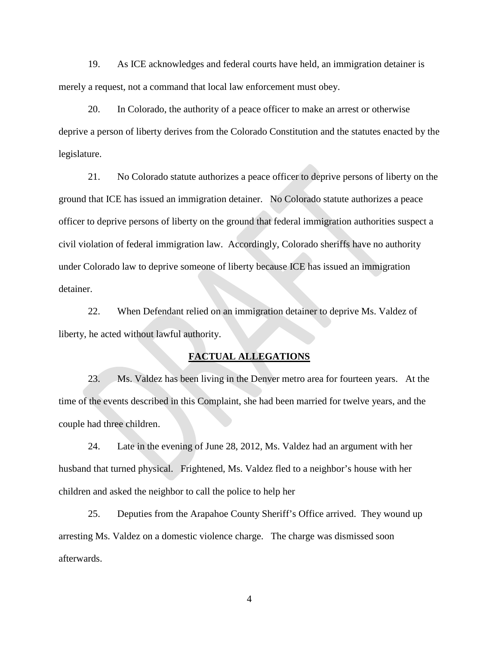19. As ICE acknowledges and federal courts have held, an immigration detainer is merely a request, not a command that local law enforcement must obey.

20. In Colorado, the authority of a peace officer to make an arrest or otherwise deprive a person of liberty derives from the Colorado Constitution and the statutes enacted by the legislature.

21. No Colorado statute authorizes a peace officer to deprive persons of liberty on the ground that ICE has issued an immigration detainer. No Colorado statute authorizes a peace officer to deprive persons of liberty on the ground that federal immigration authorities suspect a civil violation of federal immigration law. Accordingly, Colorado sheriffs have no authority under Colorado law to deprive someone of liberty because ICE has issued an immigration detainer.

22. When Defendant relied on an immigration detainer to deprive Ms. Valdez of liberty, he acted without lawful authority.

#### **FACTUAL ALLEGATIONS**

23. Ms. Valdez has been living in the Denver metro area for fourteen years. At the time of the events described in this Complaint, she had been married for twelve years, and the couple had three children.

24. Late in the evening of June 28, 2012, Ms. Valdez had an argument with her husband that turned physical. Frightened, Ms. Valdez fled to a neighbor's house with her children and asked the neighbor to call the police to help her

25. Deputies from the Arapahoe County Sheriff's Office arrived. They wound up arresting Ms. Valdez on a domestic violence charge. The charge was dismissed soon afterwards.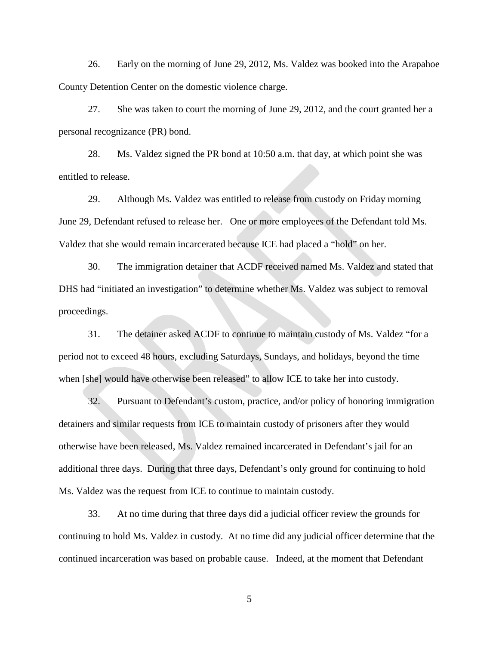26. Early on the morning of June 29, 2012, Ms. Valdez was booked into the Arapahoe County Detention Center on the domestic violence charge.

27. She was taken to court the morning of June 29, 2012, and the court granted her a personal recognizance (PR) bond.

28. Ms. Valdez signed the PR bond at 10:50 a.m. that day, at which point she was entitled to release.

29. Although Ms. Valdez was entitled to release from custody on Friday morning June 29, Defendant refused to release her. One or more employees of the Defendant told Ms. Valdez that she would remain incarcerated because ICE had placed a "hold" on her.

30. The immigration detainer that ACDF received named Ms. Valdez and stated that DHS had "initiated an investigation" to determine whether Ms. Valdez was subject to removal proceedings.

31. The detainer asked ACDF to continue to maintain custody of Ms. Valdez "for a period not to exceed 48 hours, excluding Saturdays, Sundays, and holidays, beyond the time when [she] would have otherwise been released" to allow ICE to take her into custody.

32. Pursuant to Defendant's custom, practice, and/or policy of honoring immigration detainers and similar requests from ICE to maintain custody of prisoners after they would otherwise have been released, Ms. Valdez remained incarcerated in Defendant's jail for an additional three days. During that three days, Defendant's only ground for continuing to hold Ms. Valdez was the request from ICE to continue to maintain custody.

33. At no time during that three days did a judicial officer review the grounds for continuing to hold Ms. Valdez in custody. At no time did any judicial officer determine that the continued incarceration was based on probable cause. Indeed, at the moment that Defendant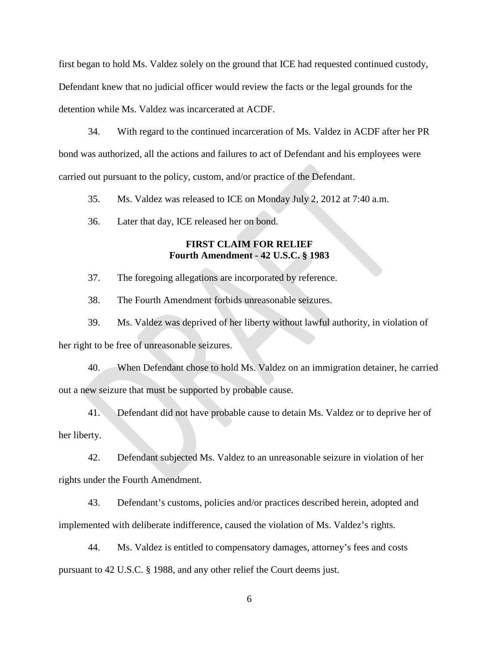first began to hold Ms. Valdez solely on the ground that ICE had requested continued custody, Defendant knew that no judicial officer would review the facts or the legal grounds for the detention while Ms. Valdez was incarcerated at ACDF.

34. With regard to the continued incarceration of Ms. Valdez in ACDF after her PR bond was authorized, all the actions and failures to act of Defendant and his employees were carried out pursuant to the policy, custom, and/or practice of the Defendant.

35. Ms. Valdez was released to ICE on Monday July 2, 2012 at 7:40 a.m.

36. Later that day, ICE released her on bond.

# **FIRST CLAIM FOR RELIEF Fourth Amendment - 42 U.S.C. § 1983**

37. The foregoing allegations are incorporated by reference.

38. The Fourth Amendment forbids unreasonable seizures.

39. Ms. Valdez was deprived of her liberty without lawful authority, in violation of

her right to be free of unreasonable seizures.

40. When Defendant chose to hold Ms. Valdez on an immigration detainer, he carried out a new seizure that must be supported by probable cause.

41. Defendant did not have probable cause to detain Ms. Valdez or to deprive her of her liberty.

42. Defendant subjected Ms. Valdez to an unreasonable seizure in violation of her rights under the Fourth Amendment.

43. Defendant's customs, policies and/or practices described herein, adopted and implemented with deliberate indifference, caused the violation of Ms. Valdez's rights.

44. Ms. Valdez is entitled to compensatory damages, attorney's fees and costs pursuant to 42 U.S.C. § 1988, and any other relief the Court deems just.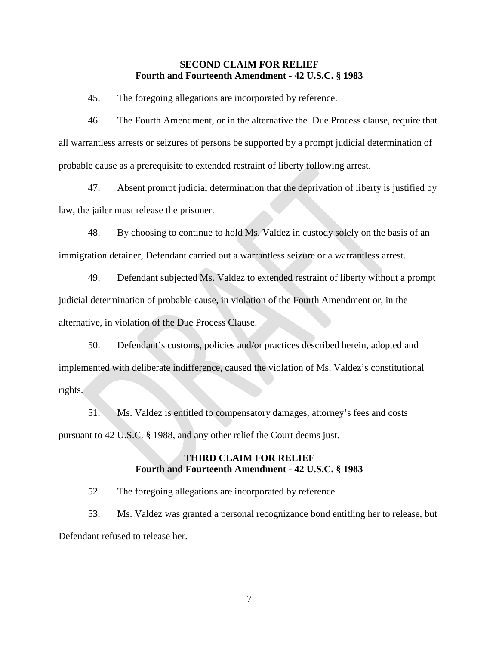## **SECOND CLAIM FOR RELIEF Fourth and Fourteenth Amendment - 42 U.S.C. § 1983**

45. The foregoing allegations are incorporated by reference.

46. The Fourth Amendment, or in the alternative the Due Process clause, require that all warrantless arrests or seizures of persons be supported by a prompt judicial determination of probable cause as a prerequisite to extended restraint of liberty following arrest.

47. Absent prompt judicial determination that the deprivation of liberty is justified by law, the jailer must release the prisoner.

48. By choosing to continue to hold Ms. Valdez in custody solely on the basis of an immigration detainer, Defendant carried out a warrantless seizure or a warrantless arrest.

49. Defendant subjected Ms. Valdez to extended restraint of liberty without a prompt judicial determination of probable cause, in violation of the Fourth Amendment or, in the alternative, in violation of the Due Process Clause.

50. Defendant's customs, policies and/or practices described herein, adopted and implemented with deliberate indifference, caused the violation of Ms. Valdez's constitutional rights.

51. Ms. Valdez is entitled to compensatory damages, attorney's fees and costs pursuant to 42 U.S.C. § 1988, and any other relief the Court deems just.

## **THIRD CLAIM FOR RELIEF Fourth and Fourteenth Amendment - 42 U.S.C. § 1983**

52. The foregoing allegations are incorporated by reference.

53. Ms. Valdez was granted a personal recognizance bond entitling her to release, but Defendant refused to release her.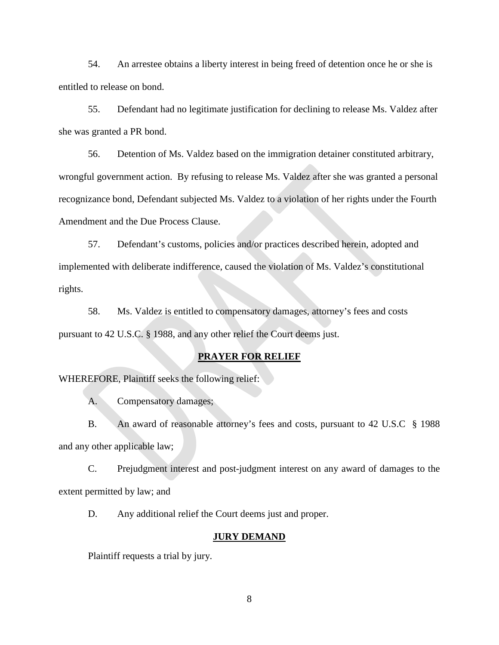54. An arrestee obtains a liberty interest in being freed of detention once he or she is entitled to release on bond.

55. Defendant had no legitimate justification for declining to release Ms. Valdez after she was granted a PR bond.

56. Detention of Ms. Valdez based on the immigration detainer constituted arbitrary, wrongful government action. By refusing to release Ms. Valdez after she was granted a personal recognizance bond, Defendant subjected Ms. Valdez to a violation of her rights under the Fourth Amendment and the Due Process Clause.

57. Defendant's customs, policies and/or practices described herein, adopted and implemented with deliberate indifference, caused the violation of Ms. Valdez's constitutional rights.

58. Ms. Valdez is entitled to compensatory damages, attorney's fees and costs pursuant to 42 U.S.C. § 1988, and any other relief the Court deems just.

### **PRAYER FOR RELIEF**

WHEREFORE, Plaintiff seeks the following relief:

A. Compensatory damages;

B. An award of reasonable attorney's fees and costs, pursuant to 42 U.S.C § 1988 and any other applicable law;

C. Prejudgment interest and post-judgment interest on any award of damages to the extent permitted by law; and

D. Any additional relief the Court deems just and proper.

### **JURY DEMAND**

Plaintiff requests a trial by jury.